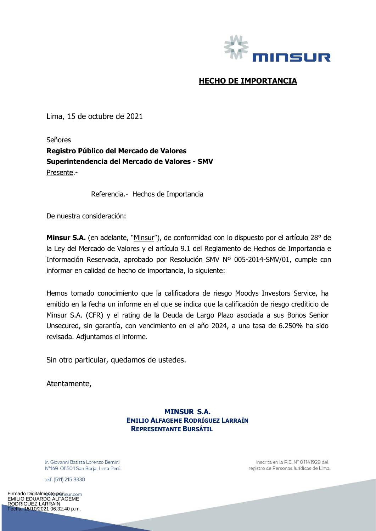

## **HECHO DE IMPORTANCIA**

Lima, 15 de octubre de 2021

Señores **Registro Público del Mercado de Valores Superintendencia del Mercado de Valores - SMV** Presente.-

Referencia.- Hechos de Importancia

De nuestra consideración:

**Minsur S.A.** (en adelante, "Minsur"), de conformidad con lo dispuesto por el artículo 28° de la Ley del Mercado de Valores y el artículo 9.1 del Reglamento de Hechos de Importancia e Información Reservada, aprobado por Resolución SMV Nº 005-2014-SMV/01, cumple con informar en calidad de hecho de importancia, lo siguiente:

Hemos tomado conocimiento que la calificadora de riesgo Moodys Investors Service, ha emitido en la fecha un informe en el que se indica que la calificación de riesgo crediticio de Minsur S.A. (CFR) y el rating de la Deuda de Largo Plazo asociada a sus Bonos Senior Unsecured, sin garantía, con vencimiento en el año 2024, a una tasa de 6.250% ha sido revisada. Adjuntamos el informe.

Sin otro particular, quedamos de ustedes.

Atentamente,

## **MINSUR S.A. EMILIO ALFAGEME RODRÍGUEZ LARRAÍN REPRESENTANTE BURSÁTIL**

Ir. Giovanni Batista Lorenzo Bernini Nº149 Of.501 San Borja, Lima Perú

telf. (511) 215 8330

Inscrita en la P.E. Nº 01141929 del registro de Personas Jurídicas de Lima.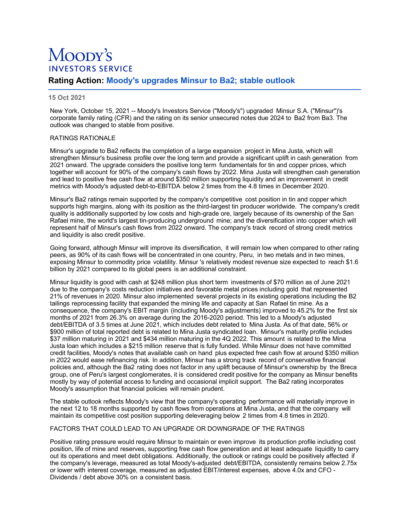# Moopy's **INVESTORS SERVICE**

## **Rating Action: Moody's upgrades Minsur to Ba2; stable outlook**

#### **15 Oct 2021**

New York, October 15, 2021 -- Moody's Investors Service ("Moody's") upgraded Minsur S.A. ("Minsur")'s corporate family rating (CFR) and the rating on its senior unsecured notes due 2024 to Ba2 from Ba3. The outlook was changed to stable from positive.

### RATINGS RATIONALE

Minsur's upgrade to Ba2 reflects the completion of a large expansion project in Mina Justa, which will strengthen Minsur's business profile over the long term and provide a significant uplift in cash generation from 2021 onward. The upgrade considers the positive long term fundamentals for tin and copper prices, which together will account for 90% of the company's cash flows by 2022. Mina Justa will strengthen cash generation and lead to positive free cash flow at around \$350 million supporting liquidity and an improvement in credit metrics with Moody's adjusted debt-to-EBITDA below 2 times from the 4.8 times in December 2020.

Minsur's Ba2 ratings remain supported by the company's competitive cost position in tin and copper which supports high margins, along with its position as the third-largest tin producer worldwide. The company's credit quality is additionally supported by low costs and high-grade ore, largely because of its ownership of the San Rafael mine, the world's largest tin-producing underground mine; and the diversification into copper which will represent half of Minsur's cash flows from 2022 onward. The company's track record of strong credit metrics and liquidity is also credit positive.

Going forward, although Minsur will improve its diversification, it will remain low when compared to other rating peers, as 90% of its cash flows will be concentrated in one country, Peru, in two metals and in two mines, exposing Minsur to commodity price volatility. Minsur 's relatively modest revenue size expected to reach \$1.6 billion by 2021 compared to its global peers is an additional constraint.

Minsur liquidity is good with cash at \$248 million plus short term investments of \$70 million as of June 2021 due to the company's costs reduction initiatives and favorable metal prices including gold that represented 21% of revenues in 2020. Minsur also implemented several projects in its existing operations including the B2 tailings reprocessing facility that expanded the mining life and capacity at San Rafael tin mine. As a consequence, the company's EBIT margin (including Moody's adjustments) improved to 45.2% for the first six months of 2021 from 26.3% on average during the 2016-2020 period. This led to a Moody's adjusted debt/EBITDA of 3.5 times at June 2021, which includes debt related to Mina Justa. As of that date, 56% or \$900 million of total reported debt is related to Mina Justa syndicated loan. Minsur's maturity profile includes \$37 million maturing in 2021 and \$434 million maturing in the 4Q 2022. This amount is related to the Mina Justa loan which includes a \$215 million reserve that is fully funded. While Minsur does not have committed credit facilities, Moody's notes that available cash on hand plus expected free cash flow at around \$350 million in 2022 would ease refinancing risk. In addition, Minsur has a strong track record of conservative financial policies and, although the Ba2 rating does not factor in any uplift because of Minsur's ownership by the Breca group, one of Peru's largest conglomerates, it is considered credit positive for the company as Minsur benefits mostly by way of potential access to funding and occasional implicit support. The Ba2 rating incorporates Moody's assumption that financial policies will remain prudent.

The stable outlook reflects Moody's view that the company's operating performance will materially improve in the next 12 to 18 months supported by cash flows from operations at Mina Justa, and that the company will maintain its competitive cost position supporting deleveraging below 2 times from 4.8 times in 2020.

### FACTORS THAT COULD LEAD TO AN UPGRADE OR DOWNGRADE OF THE RATINGS

Positive rating pressure would require Minsur to maintain or even improve its production profile including cost position, life of mine and reserves, supporting free cash flow generation and at least adequate liquidity to carry out its operations and meet debt obligations. Additionally, the outlook or ratings could be positively affected if the company's leverage, measured as total Moody's-adjusted debt/EBITDA, consistently remains below 2.75x or lower with interest coverage, measured as adjusted EBIT/interest expenses, above 4.0x and CFO - Dividends / debt above 30% on a consistent basis.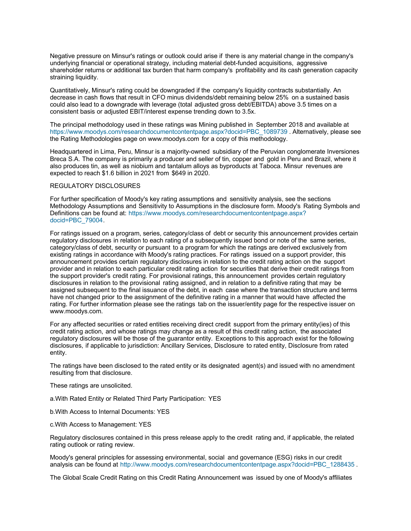Negative pressure on Minsur's ratings or outlook could arise if there is any material change in the company's underlying financial or operational strategy, including material debt-funded acquisitions, aggressive shareholder returns or additional tax burden that harm company's profitability and its cash generation capacity straining liquidity.

Quantitatively, Minsur's rating could be downgraded if the company's liquidity contracts substantially. An decrease in cash flows that result in CFO minus dividends/debt remaining below 25% on a sustained basis could also lead to a downgrade with leverage (total adjusted gross debt/EBITDA) above 3.5 times on a consistent basis or adjusted EBIT/interest expense trending down to 3.5x.

The principal methodology used in these ratings was Mining published in September 2018 and available at [https://www.moodys.com/researchdocumentcontentpage.aspx?docid=PBC\\_1089739](https://www.moodys.com/researchdocumentcontentpage.aspx?docid=PBC_1089739) . Alternatively, please see the Rating Methodologies page on www.moodys.com for a copy of this methodology.

Headquartered in Lima, Peru, Minsur is a majority-owned subsidiary of the Peruvian conglomerate Inversiones Breca S.A. The company is primarily a producer and seller of tin, copper and gold in Peru and Brazil, where it also produces tin, as well as niobium and tantalum alloys as byproducts at Taboca. Minsur revenues are expected to reach \$1.6 billion in 2021 from \$649 in 2020.

#### REGULATORY DISCLOSURES

For further specification of Moody's key rating assumptions and sensitivity analysis, see the sections Methodology Assumptions and Sensitivity to Assumptions in the disclosure form. Moody's Rating Symbols and [Definitions can be found at: https://www.moodys.com/researchdocumentcontentpage.aspx?](https://www.moodys.com/researchdocumentcontentpage.aspx?docid=PBC_79004) docid=PBC\_79004.

For ratings issued on a program, series, category/class of debt or security this announcement provides certain regulatory disclosures in relation to each rating of a subsequently issued bond or note of the same series, category/class of debt, security or pursuant to a program for which the ratings are derived exclusively from existing ratings in accordance with Moody's rating practices. For ratings issued on a support provider, this announcement provides certain regulatory disclosures in relation to the credit rating action on the support provider and in relation to each particular credit rating action for securities that derive their credit ratings from the support provider's credit rating. For provisional ratings, this announcement provides certain regulatory disclosures in relation to the provisional rating assigned, and in relation to a definitive rating that may be assigned subsequent to the final issuance of the debt, in each case where the transaction structure and terms have not changed prior to the assignment of the definitive rating in a manner that would have affected the rating. For further information please see the ratings tab on the issuer/entity page for the respective issuer on www.moodys.com.

For any affected securities or rated entities receiving direct credit support from the primary entity(ies) of this credit rating action, and whose ratings may change as a result of this credit rating action, the associated regulatory disclosures will be those of the guarantor entity. Exceptions to this approach exist for the following disclosures, if applicable to jurisdiction: Ancillary Services, Disclosure to rated entity, Disclosure from rated entity.

The ratings have been disclosed to the rated entity or its designated agent(s) and issued with no amendment resulting from that disclosure.

These ratings are unsolicited.

a.With Rated Entity or Related Third Party Participation: YES

b.With Access to Internal Documents: YES

c.With Access to Management: YES

Regulatory disclosures contained in this press release apply to the credit rating and, if applicable, the related rating outlook or rating review.

Moody's general principles for assessing environmental, social and governance (ESG) risks in our credit analysis can be found at [http://www.moodys.com/researchdocumentcontentpage.aspx?docid=PBC\\_1288435](http://www.moodys.com/researchdocumentcontentpage.aspx?docid=PBC_1288435).

The Global Scale Credit Rating on this Credit Rating Announcement was issued by one of Moody's affiliates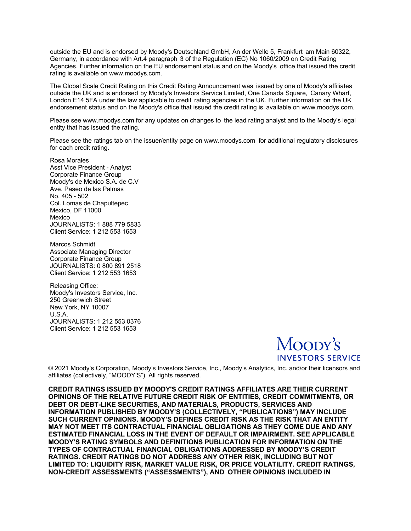outside the EU and is endorsed by Moody's Deutschland GmbH, An der Welle 5, Frankfurt am Main 60322, Germany, in accordance with Art.4 paragraph 3 of the Regulation (EC) No 1060/2009 on Credit Rating Agencies. Further information on the EU endorsement status and on the Moody's office that issued the credit rating is available on www.moodys.com.

The Global Scale Credit Rating on this Credit Rating Announcement was issued by one of Moody's affiliates outside the UK and is endorsed by Moody's Investors Service Limited, One Canada Square, Canary Wharf, London E14 5FA under the law applicable to credit rating agencies in the UK. Further information on the UK endorsement status and on the Moody's office that issued the credit rating is available on www.moodys.com.

Please see www.moodys.com for any updates on changes to the lead rating analyst and to the Moody's legal entity that has issued the rating.

Please see the ratings tab on the issuer/entity page on www.moodys.com for additional regulatory disclosures for each credit rating.

Rosa Morales Asst Vice President - Analyst Corporate Finance Group Moody's de Mexico S.A. de C.V Ave. Paseo de las Palmas No. 405 - 502 Col. Lomas de Chapultepec Mexico, DF 11000 Mexico JOURNALISTS: 1 888 779 5833 Client Service: 1 212 553 1653

Marcos Schmidt Associate Managing Director Corporate Finance Group JOURNALISTS: 0 800 891 2518 Client Service: 1 212 553 1653

Releasing Office: Moody's Investors Service, Inc. 250 Greenwich Street New York, NY 10007 U.S.A. JOURNALISTS: 1 212 553 0376 Client Service: 1 212 553 1653



© 2021 Moody's Corporation, Moody's Investors Service, Inc., Moody's Analytics, Inc. and/or their licensors and affiliates (collectively, "MOODY'S"). All rights reserved.

**CREDIT RATINGS ISSUED BY MOODY'S CREDIT RATINGS AFFILIATES ARE THEIR CURRENT OPINIONS OF THE RELATIVE FUTURE CREDIT RISK OF ENTITIES, CREDIT COMMITMENTS, OR DEBT OR DEBT-LIKE SECURITIES, AND MATERIALS, PRODUCTS, SERVICES AND INFORMATION PUBLISHED BY MOODY'S (COLLECTIVELY, "PUBLICATIONS") MAY INCLUDE SUCH CURRENT OPINIONS. MOODY'S DEFINES CREDIT RISK AS THE RISK THAT AN ENTITY MAY NOT MEET ITS CONTRACTUAL FINANCIAL OBLIGATIONS AS THEY COME DUE AND ANY ESTIMATED FINANCIAL LOSS IN THE EVENT OF DEFAULT OR IMPAIRMENT. SEE APPLICABLE MOODY'S RATING SYMBOLS AND DEFINITIONS PUBLICATION FOR INFORMATION ON THE TYPES OF CONTRACTUAL FINANCIAL OBLIGATIONS ADDRESSED BY MOODY'S CREDIT RATINGS. CREDIT RATINGS DO NOT ADDRESS ANY OTHER RISK, INCLUDING BUT NOT LIMITED TO: LIQUIDITY RISK, MARKET VALUE RISK, OR PRICE VOLATILITY. CREDIT RATINGS, NON-CREDIT ASSESSMENTS ("ASSESSMENTS"), AND OTHER OPINIONS INCLUDED IN**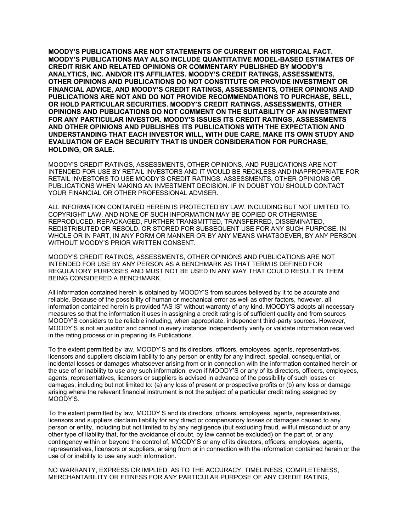**MOODY'S PUBLICATIONS ARE NOT STATEMENTS OF CURRENT OR HISTORICAL FACT. MOODY'S PUBLICATIONS MAY ALSO INCLUDE QUANTITATIVE MODEL-BASED ESTIMATES OF CREDIT RISK AND RELATED OPINIONS OR COMMENTARY PUBLISHED BY MOODY'S ANALYTICS, INC. AND/OR ITS AFFILIATES. MOODY'S CREDIT RATINGS, ASSESSMENTS, OTHER OPINIONS AND PUBLICATIONS DO NOT CONSTITUTE OR PROVIDE INVESTMENT OR FINANCIAL ADVICE, AND MOODY'S CREDIT RATINGS, ASSESSMENTS, OTHER OPINIONS AND PUBLICATIONS ARE NOT AND DO NOT PROVIDE RECOMMENDATIONS TO PURCHASE, SELL, OR HOLD PARTICULAR SECURITIES. MOODY'S CREDIT RATINGS, ASSESSMENTS, OTHER OPINIONS AND PUBLICATIONS DO NOT COMMENT ON THE SUITABILITY OF AN INVESTMENT FOR ANY PARTICULAR INVESTOR. MOODY'S ISSUES ITS CREDIT RATINGS, ASSESSMENTS AND OTHER OPINIONS AND PUBLISHES ITS PUBLICATIONS WITH THE EXPECTATION AND UNDERSTANDING THAT EACH INVESTOR WILL, WITH DUE CARE, MAKE ITS OWN STUDY AND EVALUATION OF EACH SECURITY THAT IS UNDER CONSIDERATION FOR PURCHASE, HOLDING, OR SALE.** 

MOODY'S CREDIT RATINGS, ASSESSMENTS, OTHER OPINIONS, AND PUBLICATIONS ARE NOT INTENDED FOR USE BY RETAIL INVESTORS AND IT WOULD BE RECKLESS AND INAPPROPRIATE FOR RETAIL INVESTORS TO USE MOODY'S CREDIT RATINGS, ASSESSMENTS, OTHER OPINIONS OR PUBLICATIONS WHEN MAKING AN INVESTMENT DECISION. IF IN DOUBT YOU SHOULD CONTACT YOUR FINANCIAL OR OTHER PROFESSIONAL ADVISER.

ALL INFORMATION CONTAINED HEREIN IS PROTECTED BY LAW, INCLUDING BUT NOT LIMITED TO, COPYRIGHT LAW, AND NONE OF SUCH INFORMATION MAY BE COPIED OR OTHERWISE REPRODUCED, REPACKAGED, FURTHER TRANSMITTED, TRANSFERRED, DISSEMINATED, REDISTRIBUTED OR RESOLD, OR STORED FOR SUBSEQUENT USE FOR ANY SUCH PURPOSE, IN WHOLE OR IN PART, IN ANY FORM OR MANNER OR BY ANY MEANS WHATSOEVER, BY ANY PERSON WITHOUT MOODY'S PRIOR WRITTEN CONSENT.

MOODY'S CREDIT RATINGS, ASSESSMENTS, OTHER OPINIONS AND PUBLICATIONS ARE NOT INTENDED FOR USE BY ANY PERSON AS A BENCHMARK AS THAT TERM IS DEFINED FOR REGULATORY PURPOSES AND MUST NOT BE USED IN ANY WAY THAT COULD RESULT IN THEM BEING CONSIDERED A BENCHMARK.

All information contained herein is obtained by MOODY'S from sources believed by it to be accurate and reliable. Because of the possibility of human or mechanical error as well as other factors, however, all information contained herein is provided "AS IS" without warranty of any kind. MOODY'S adopts all necessary measures so that the information it uses in assigning a credit rating is of sufficient quality and from sources MOODY'S considers to be reliable including, when appropriate, independent third-party sources. However, MOODY'S is not an auditor and cannot in every instance independently verify or validate information received in the rating process or in preparing its Publications.

To the extent permitted by law, MOODY'S and its directors, officers, employees, agents, representatives, licensors and suppliers disclaim liability to any person or entity for any indirect, special, consequential, or incidental losses or damages whatsoever arising from or in connection with the information contained herein or the use of or inability to use any such information, even if MOODY'S or any of its directors, officers, employees, agents, representatives, licensors or suppliers is advised in advance of the possibility of such losses or damages, including but not limited to: (a) any loss of present or prospective profits or (b) any loss or damage arising where the relevant financial instrument is not the subject of a particular credit rating assigned by MOODY'S.

To the extent permitted by law, MOODY'S and its directors, officers, employees, agents, representatives, licensors and suppliers disclaim liability for any direct or compensatory losses or damages caused to any person or entity, including but not limited to by any negligence (but excluding fraud, willful misconduct or any other type of liability that, for the avoidance of doubt, by law cannot be excluded) on the part of, or any contingency within or beyond the control of, MOODY'S or any of its directors, officers, employees, agents, representatives, licensors or suppliers, arising from or in connection with the information contained herein or the use of or inability to use any such information.

NO WARRANTY, EXPRESS OR IMPLIED, AS TO THE ACCURACY, TIMELINESS, COMPLETENESS, MERCHANTABILITY OR FITNESS FOR ANY PARTICULAR PURPOSE OF ANY CREDIT RATING,